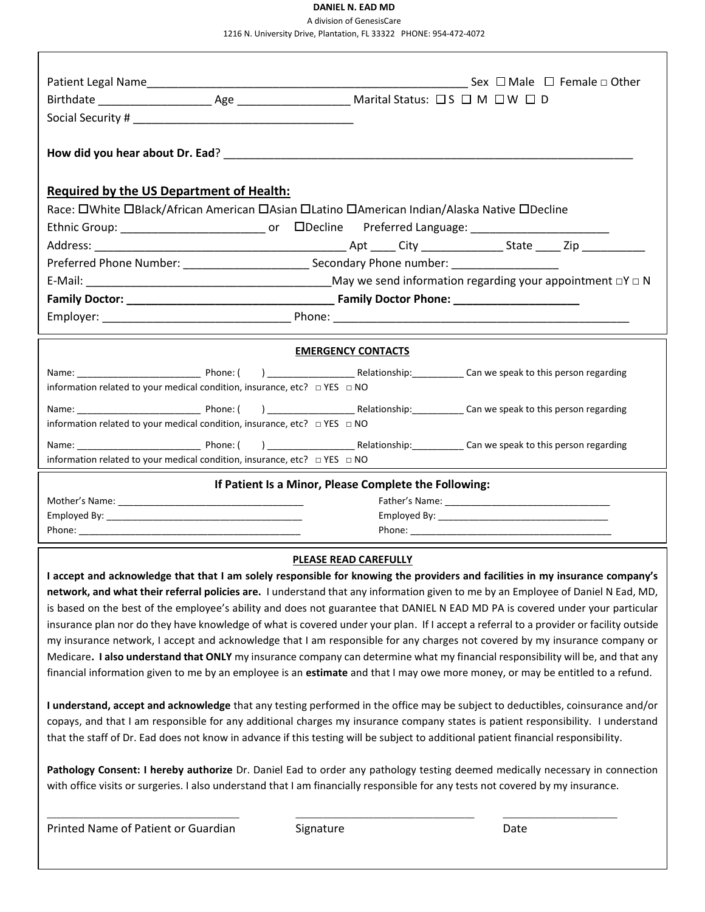## **DANIEL N. EAD MD**

A division of GenesisCare 1216 N. University Drive, Plantation, FL 33322 PHONE: 954-472-4072

| <b>Required by the US Department of Health:</b>                                     |                                                                                                                                                                                                                                                                                                                                                                                                                                                                                                                                                                                                                                                                                                                                                                                                                                                                                                                                                   |
|-------------------------------------------------------------------------------------|---------------------------------------------------------------------------------------------------------------------------------------------------------------------------------------------------------------------------------------------------------------------------------------------------------------------------------------------------------------------------------------------------------------------------------------------------------------------------------------------------------------------------------------------------------------------------------------------------------------------------------------------------------------------------------------------------------------------------------------------------------------------------------------------------------------------------------------------------------------------------------------------------------------------------------------------------|
|                                                                                     | Race: OWhite OBlack/African American OAsian OLatino OAmerican Indian/Alaska Native ODecline                                                                                                                                                                                                                                                                                                                                                                                                                                                                                                                                                                                                                                                                                                                                                                                                                                                       |
|                                                                                     |                                                                                                                                                                                                                                                                                                                                                                                                                                                                                                                                                                                                                                                                                                                                                                                                                                                                                                                                                   |
|                                                                                     |                                                                                                                                                                                                                                                                                                                                                                                                                                                                                                                                                                                                                                                                                                                                                                                                                                                                                                                                                   |
|                                                                                     | Preferred Phone Number: ______________________________Secondary Phone number: _____________________                                                                                                                                                                                                                                                                                                                                                                                                                                                                                                                                                                                                                                                                                                                                                                                                                                               |
|                                                                                     |                                                                                                                                                                                                                                                                                                                                                                                                                                                                                                                                                                                                                                                                                                                                                                                                                                                                                                                                                   |
|                                                                                     |                                                                                                                                                                                                                                                                                                                                                                                                                                                                                                                                                                                                                                                                                                                                                                                                                                                                                                                                                   |
|                                                                                     |                                                                                                                                                                                                                                                                                                                                                                                                                                                                                                                                                                                                                                                                                                                                                                                                                                                                                                                                                   |
|                                                                                     |                                                                                                                                                                                                                                                                                                                                                                                                                                                                                                                                                                                                                                                                                                                                                                                                                                                                                                                                                   |
|                                                                                     | <b>EMERGENCY CONTACTS</b>                                                                                                                                                                                                                                                                                                                                                                                                                                                                                                                                                                                                                                                                                                                                                                                                                                                                                                                         |
|                                                                                     |                                                                                                                                                                                                                                                                                                                                                                                                                                                                                                                                                                                                                                                                                                                                                                                                                                                                                                                                                   |
| information related to your medical condition, insurance, etc? □ YES □ NO           |                                                                                                                                                                                                                                                                                                                                                                                                                                                                                                                                                                                                                                                                                                                                                                                                                                                                                                                                                   |
|                                                                                     |                                                                                                                                                                                                                                                                                                                                                                                                                                                                                                                                                                                                                                                                                                                                                                                                                                                                                                                                                   |
| information related to your medical condition, insurance, etc? □ YES □ NO           |                                                                                                                                                                                                                                                                                                                                                                                                                                                                                                                                                                                                                                                                                                                                                                                                                                                                                                                                                   |
|                                                                                     |                                                                                                                                                                                                                                                                                                                                                                                                                                                                                                                                                                                                                                                                                                                                                                                                                                                                                                                                                   |
| information related to your medical condition, insurance, etc? $\Box$ YES $\Box$ NO |                                                                                                                                                                                                                                                                                                                                                                                                                                                                                                                                                                                                                                                                                                                                                                                                                                                                                                                                                   |
|                                                                                     | If Patient Is a Minor, Please Complete the Following:                                                                                                                                                                                                                                                                                                                                                                                                                                                                                                                                                                                                                                                                                                                                                                                                                                                                                             |
|                                                                                     |                                                                                                                                                                                                                                                                                                                                                                                                                                                                                                                                                                                                                                                                                                                                                                                                                                                                                                                                                   |
|                                                                                     |                                                                                                                                                                                                                                                                                                                                                                                                                                                                                                                                                                                                                                                                                                                                                                                                                                                                                                                                                   |
|                                                                                     |                                                                                                                                                                                                                                                                                                                                                                                                                                                                                                                                                                                                                                                                                                                                                                                                                                                                                                                                                   |
|                                                                                     | <b>PLEASE READ CAREFULLY</b>                                                                                                                                                                                                                                                                                                                                                                                                                                                                                                                                                                                                                                                                                                                                                                                                                                                                                                                      |
|                                                                                     | I accept and acknowledge that that I am solely responsible for knowing the providers and facilities in my insurance company's<br>network, and what their referral policies are. I understand that any information given to me by an Employee of Daniel N Ead, MD,<br>is based on the best of the employee's ability and does not guarantee that DANIEL N EAD MD PA is covered under your particular<br>insurance plan nor do they have knowledge of what is covered under your plan. If I accept a referral to a provider or facility outside<br>my insurance network, I accept and acknowledge that I am responsible for any charges not covered by my insurance company or<br>Medicare. I also understand that ONLY my insurance company can determine what my financial responsibility will be, and that any<br>financial information given to me by an employee is an estimate and that I may owe more money, or may be entitled to a refund. |
|                                                                                     | I understand, accept and acknowledge that any testing performed in the office may be subject to deductibles, coinsurance and/or<br>copays, and that I am responsible for any additional charges my insurance company states is patient responsibility. I understand<br>that the staff of Dr. Ead does not know in advance if this testing will be subject to additional patient financial responsibility.                                                                                                                                                                                                                                                                                                                                                                                                                                                                                                                                         |
|                                                                                     | Pathology Consent: I hereby authorize Dr. Daniel Ead to order any pathology testing deemed medically necessary in connection<br>with office visits or surgeries. I also understand that I am financially responsible for any tests not covered by my insurance.                                                                                                                                                                                                                                                                                                                                                                                                                                                                                                                                                                                                                                                                                   |
| Printed Name of Patient or Guardian                                                 |                                                                                                                                                                                                                                                                                                                                                                                                                                                                                                                                                                                                                                                                                                                                                                                                                                                                                                                                                   |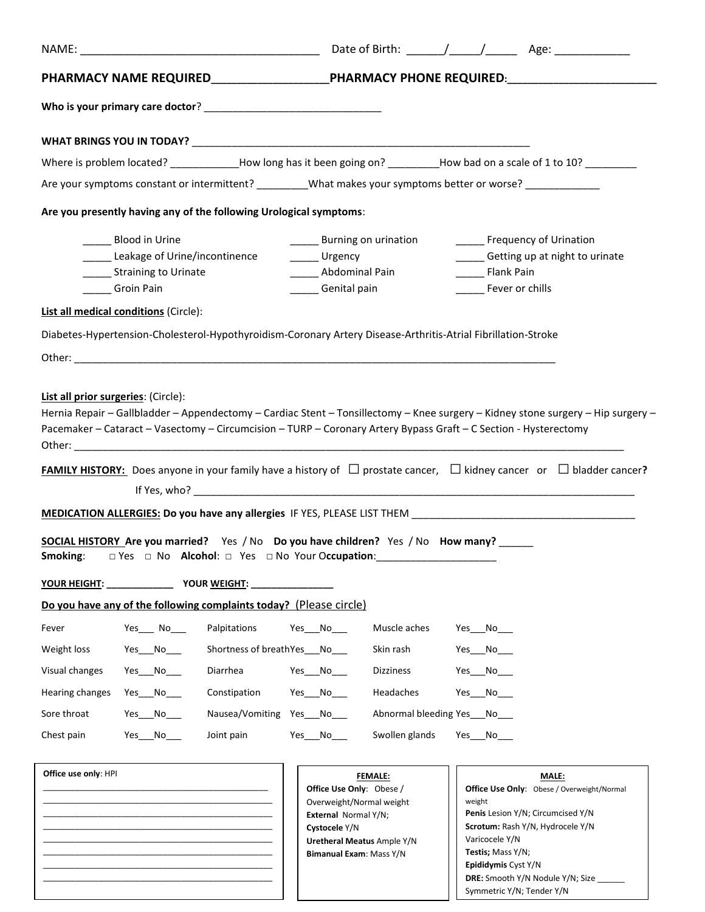|                                                                                                                       | PHARMACY NAME REQUIRED_____________________PHARMACY PHONE REQUIRED:____________________                                                                                                                                                                                                                                                                                                                                                                                                                                                    |
|-----------------------------------------------------------------------------------------------------------------------|--------------------------------------------------------------------------------------------------------------------------------------------------------------------------------------------------------------------------------------------------------------------------------------------------------------------------------------------------------------------------------------------------------------------------------------------------------------------------------------------------------------------------------------------|
|                                                                                                                       |                                                                                                                                                                                                                                                                                                                                                                                                                                                                                                                                            |
|                                                                                                                       |                                                                                                                                                                                                                                                                                                                                                                                                                                                                                                                                            |
|                                                                                                                       | Where is problem located? _____________How long has it been going on? ________How bad on a scale of 1 to 10? ________                                                                                                                                                                                                                                                                                                                                                                                                                      |
|                                                                                                                       | Are your symptoms constant or intermittent? ___________What makes your symptoms better or worse? _____________                                                                                                                                                                                                                                                                                                                                                                                                                             |
| Are you presently having any of the following Urological symptoms:                                                    |                                                                                                                                                                                                                                                                                                                                                                                                                                                                                                                                            |
| <b>Blood in Urine</b><br>Leakage of Urine/incontinence _______ Urgency<br>________ Straining to Urinate<br>Groin Pain | <b>Example 1</b> Burning on urination<br><b>Example 1 Frequency of Urination</b><br>Getting up at night to urinate<br>______ Abdominal Pain<br>_______ Flank Pain<br>Genital pain<br>_______ Fever or chills                                                                                                                                                                                                                                                                                                                               |
| <b>List all medical conditions (Circle):</b>                                                                          |                                                                                                                                                                                                                                                                                                                                                                                                                                                                                                                                            |
|                                                                                                                       | Diabetes-Hypertension-Cholesterol-Hypothyroidism-Coronary Artery Disease-Arthritis-Atrial Fibrillation-Stroke                                                                                                                                                                                                                                                                                                                                                                                                                              |
|                                                                                                                       | Hernia Repair - Gallbladder - Appendectomy - Cardiac Stent - Tonsillectomy - Knee surgery - Kidney stone surgery - Hip surgery -<br>Pacemaker - Cataract - Vasectomy - Circumcision - TURP - Coronary Artery Bypass Graft - C Section - Hysterectomy<br><b>FAMILY HISTORY:</b> Does anyone in your family have a history of $\Box$ prostate cancer, $\Box$ kidney cancer or $\Box$ bladder cancer?<br>SOCIAL HISTORY Are you married? Yes / No Do you have children? Yes / No How many?<br>□ Yes □ No Alcohol: □ Yes □ No Your Occupation: |
| Smoking:                                                                                                              |                                                                                                                                                                                                                                                                                                                                                                                                                                                                                                                                            |
| Do you have any of the following complaints today? (Please circle)                                                    |                                                                                                                                                                                                                                                                                                                                                                                                                                                                                                                                            |
| $Yes$ No<br>Palpitations<br>Fever                                                                                     | Muscle aches<br>Yes No<br>Yes No                                                                                                                                                                                                                                                                                                                                                                                                                                                                                                           |
| Weight loss<br>$Yes$ No $\_\_$                                                                                        | Shortness of breathYes___No____<br>Skin rash<br>Yes No                                                                                                                                                                                                                                                                                                                                                                                                                                                                                     |
| Visual changes<br>Diarrhea<br>Yes No                                                                                  | Yes No<br>Dizziness<br>Yes No                                                                                                                                                                                                                                                                                                                                                                                                                                                                                                              |
| $Yes$ No $\_\_$<br>Constipation<br>Hearing changes                                                                    | Headaches<br>Yes No                                                                                                                                                                                                                                                                                                                                                                                                                                                                                                                        |
| Sore throat<br>Yes No                                                                                                 | Nausea/Vomiting Yes No<br>Abnormal bleeding Yes No                                                                                                                                                                                                                                                                                                                                                                                                                                                                                         |
| Chest pain<br>$Yes$ No_____<br>Joint pain                                                                             | Swollen glands<br>Yes No<br>Yes No                                                                                                                                                                                                                                                                                                                                                                                                                                                                                                         |
| Office use only: HPI                                                                                                  | <b>FEMALE:</b><br><b>MALE:</b><br>Office Use Only: Obese /<br><b>Office Use Only:</b> Obese / Overweight/Normal<br>Overweight/Normal weight<br>weight<br>Penis Lesion Y/N; Circumcised Y/N<br><b>External Normal Y/N;</b><br>Scrotum: Rash Y/N, Hydrocele Y/N<br>Cystocele Y/N<br>Varicocele Y/N<br><b>Uretheral Meatus Ample Y/N</b><br>Testis; Mass Y/N;<br>Bimanual Exam: Mass Y/N                                                                                                                                                      |

\_\_\_\_\_\_\_\_\_\_\_\_\_\_\_\_\_\_\_\_\_\_\_\_\_\_\_\_\_\_\_\_\_\_\_\_\_\_\_\_\_\_\_\_\_\_\_\_\_\_ \_\_\_\_\_\_\_\_\_\_\_\_\_\_\_\_\_\_\_\_\_\_\_\_\_\_\_\_\_\_\_\_\_\_\_\_\_\_\_\_\_\_\_\_\_\_\_\_\_\_

| 16343. IVIQJJ 1714.                     |
|-----------------------------------------|
| Epididymis Cyst Y/N                     |
| <b>DRE:</b> Smooth Y/N Nodule Y/N; Size |
| Symmetric Y/N; Tender Y/N               |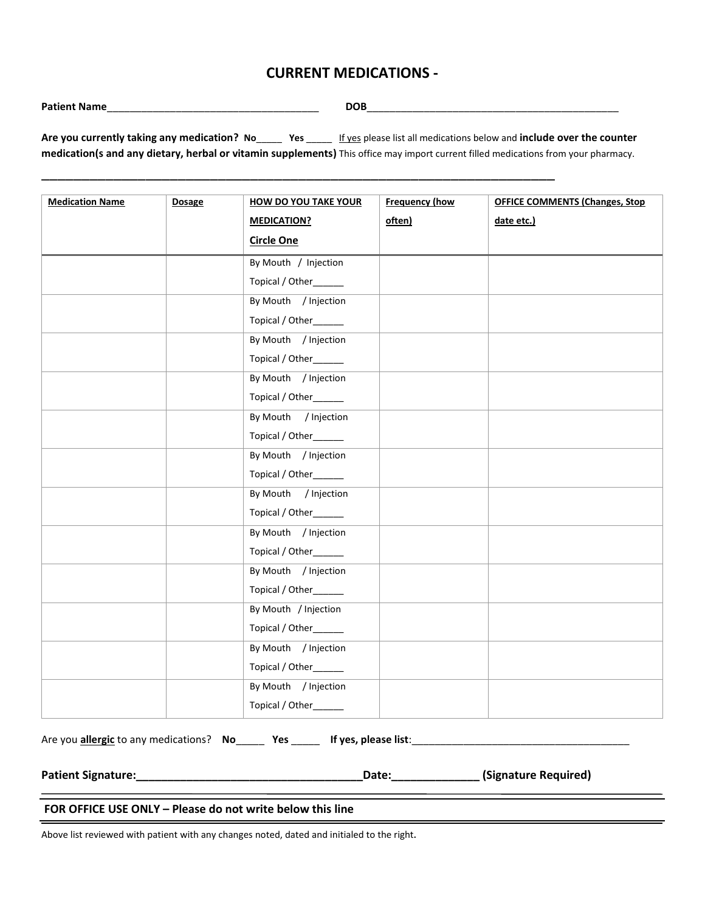## **CURRENT MEDICATIONS -**

| <b>Patient Nar</b> | ________ |  |                      |  |                                                                                                    |  |     |     |  |
|--------------------|----------|--|----------------------|--|----------------------------------------------------------------------------------------------------|--|-----|-----|--|
|                    |          |  |                      |  |                                                                                                    |  |     |     |  |
|                    | .        |  | $\sim$ $\sim$ $\sim$ |  | المستحدث والمستحدث والمستحدث والمستحدث والمستحدث والمستحدث والمستحدث والمستحدث والمستحدث والمستحدث |  | . . | . . |  |

**Are you currently taking any medication? No**\_\_\_\_\_ **Yes** \_\_\_\_\_ If yes please list all medications below and **include over the counter medication(s and any dietary, herbal or vitamin supplements)** This office may import current filled medications from your pharmacy.

\_\_\_\_\_\_\_\_\_\_\_\_\_\_\_\_\_\_\_\_\_\_\_\_\_\_\_\_\_\_\_\_\_\_\_\_\_\_\_\_\_\_\_\_\_\_\_\_\_\_\_\_\_\_\_\_\_\_\_\_\_\_\_\_

| <b>Medication Name</b> | <b>Dosage</b> | <b>HOW DO YOU TAKE YOUR</b> | <b>Frequency (how</b> | <b>OFFICE COMMENTS (Changes, Stop</b> |
|------------------------|---------------|-----------------------------|-----------------------|---------------------------------------|
|                        |               | <b>MEDICATION?</b>          | often)                | date etc.)                            |
|                        |               | <b>Circle One</b>           |                       |                                       |
|                        |               | By Mouth / Injection        |                       |                                       |
|                        |               | Topical / Other______       |                       |                                       |
|                        |               | By Mouth / Injection        |                       |                                       |
|                        |               | Topical / Other______       |                       |                                       |
|                        |               | By Mouth / Injection        |                       |                                       |
|                        |               | Topical / Other             |                       |                                       |
|                        |               | By Mouth / Injection        |                       |                                       |
|                        |               | Topical / Other______       |                       |                                       |
|                        |               | By Mouth / Injection        |                       |                                       |
|                        |               | Topical / Other             |                       |                                       |
|                        |               | By Mouth / Injection        |                       |                                       |
|                        |               | Topical / Other_____        |                       |                                       |
|                        |               | By Mouth / Injection        |                       |                                       |
|                        |               | Topical / Other_____        |                       |                                       |
|                        |               | By Mouth / Injection        |                       |                                       |
|                        |               | Topical / Other______       |                       |                                       |
|                        |               | By Mouth / Injection        |                       |                                       |
|                        |               | Topical / Other_____        |                       |                                       |
|                        |               | By Mouth / Injection        |                       |                                       |
|                        |               | Topical / Other______       |                       |                                       |
|                        |               | By Mouth / Injection        |                       |                                       |
|                        |               | Topical / Other______       |                       |                                       |
|                        |               | By Mouth / Injection        |                       |                                       |
|                        |               | Topical / Other_____        |                       |                                       |
|                        |               |                             |                       |                                       |

Are you **allergic** to any medications? **No**\_\_\_\_\_ **Yes** \_\_\_\_\_ **If yes, please list**:\_\_\_\_\_\_\_\_\_\_\_\_\_\_\_\_\_\_\_\_\_\_\_\_\_\_\_\_\_\_\_\_\_\_\_\_\_\_

**Patient Signature:\_\_\_\_\_\_\_\_\_\_\_\_\_\_\_\_\_\_\_\_\_\_\_\_\_\_\_\_\_\_\_\_\_\_\_\_Date:\_\_\_\_\_\_\_\_\_\_\_\_\_\_ (Signature Required)** 

the control of the control of the control of the control of the control of

#### **FOR OFFICE USE ONLY – Please do not write below this line**

Above list reviewed with patient with any changes noted, dated and initialed to the right**.**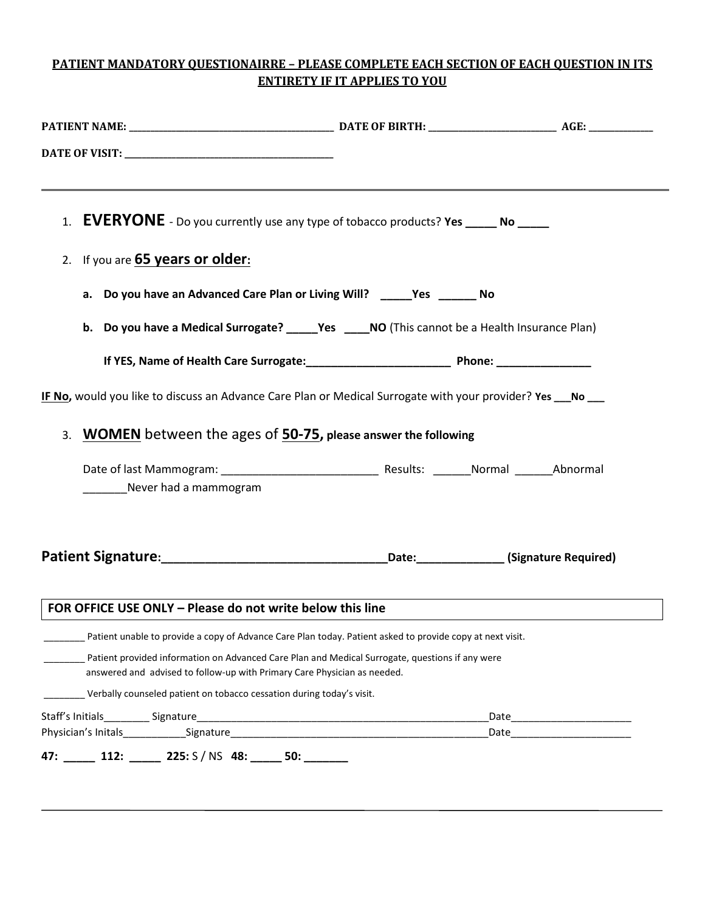## **PATIENT MANDATORY QUESTIONAIRRE – PLEASE COMPLETE EACH SECTION OF EACH QUESTION IN ITS ENTIRETY IF IT APPLIES TO YOU**

|                                                                          | 1. <b>EVERYONE</b> - Do you currently use any type of tobacco products? Yes _____ No _____                    |                                   |
|--------------------------------------------------------------------------|---------------------------------------------------------------------------------------------------------------|-----------------------------------|
| 2. If you are <b>65 years or older:</b>                                  |                                                                                                               |                                   |
|                                                                          | a. Do you have an Advanced Care Plan or Living Will? _____Yes ______ No                                       |                                   |
|                                                                          | b. Do you have a Medical Surrogate? ______Yes _____NO (This cannot be a Health Insurance Plan)                |                                   |
|                                                                          |                                                                                                               |                                   |
|                                                                          | IF No, would you like to discuss an Advance Care Plan or Medical Surrogate with your provider? Yes ___ No ___ |                                   |
|                                                                          | 3. WOMEN between the ages of 50-75, please answer the following                                               |                                   |
| Never had a mammogram                                                    |                                                                                                               |                                   |
|                                                                          |                                                                                                               |                                   |
| FOR OFFICE USE ONLY - Please do not write below this line                |                                                                                                               |                                   |
|                                                                          | Patient unable to provide a copy of Advance Care Plan today. Patient asked to provide copy at next visit.     |                                   |
| answered and advised to follow-up with Primary Care Physician as needed. | Patient provided information on Advanced Care Plan and Medical Surrogate, questions if any were               |                                   |
|                                                                          | Verbally counseled patient on tobacco cessation during today's visit.                                         |                                   |
|                                                                          |                                                                                                               |                                   |
|                                                                          |                                                                                                               | _Date____________________________ |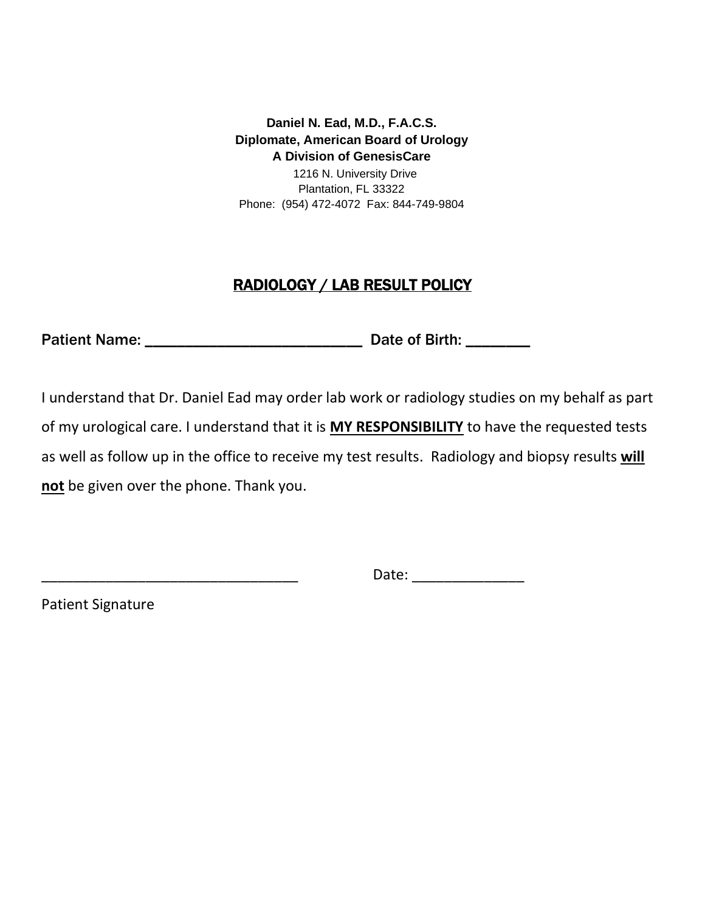**Daniel N. Ead, M.D., F.A.C.S. Diplomate, American Board of Urology A Division of GenesisCare**

 Plantation, FL 33322 1216 N. University Drive Phone: (954) 472-4072 Fax: 844-749-9804

# RADIOLOGY / LAB RESULT POLICY

Patient Name: \_\_\_\_\_\_\_\_\_\_\_\_\_\_\_\_\_\_\_\_\_\_\_\_\_\_\_ Date of Birth: \_\_\_\_\_\_\_\_

I understand that Dr. Daniel Ead may order lab work or radiology studies on my behalf as part of my urological care. I understand that it is **MY RESPONSIBILITY** to have the requested tests as well as follow up in the office to receive my test results. Radiology and biopsy results **will not** be given over the phone. Thank you.

 $Date:$ 

Patient Signature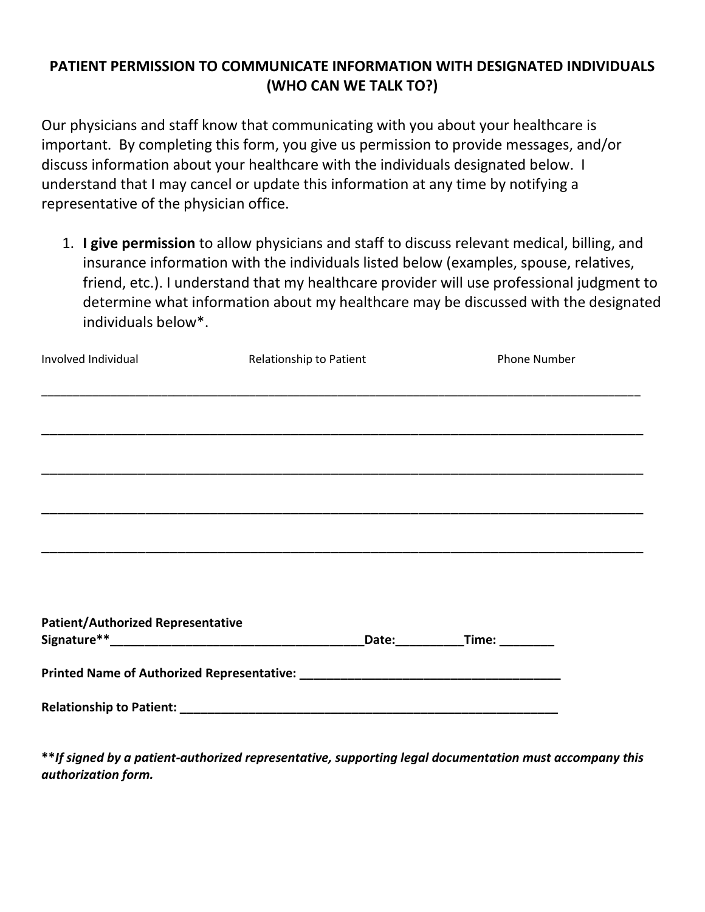# **PATIENT PERMISSION TO COMMUNICATE INFORMATION WITH DESIGNATED INDIVIDUALS (WHO CAN WE TALK TO?)**

Our physicians and staff know that communicating with you about your healthcare is important. By completing this form, you give us permission to provide messages, and/or discuss information about your healthcare with the individuals designated below. I understand that I may cancel or update this information at any time by notifying a representative of the physician office.

1. **I give permission** to allow physicians and staff to discuss relevant medical, billing, and insurance information with the individuals listed below (examples, spouse, relatives, friend, etc.). I understand that my healthcare provider will use professional judgment to determine what information about my healthcare may be discussed with the designated individuals below\*.

| Involved Individual                      | Relationship to Patient                                                                                               | <b>Phone Number</b> |
|------------------------------------------|-----------------------------------------------------------------------------------------------------------------------|---------------------|
|                                          |                                                                                                                       |                     |
|                                          |                                                                                                                       |                     |
|                                          | <u>,这个人都是不是一个人,我们就是一个人,我们就是一个人,我们就是一个人,我们就是一个人,我们就是一个人,我们就是一个人,我们就是一个人,我们就是一个人,我们</u>                                 |                     |
|                                          |                                                                                                                       |                     |
|                                          | <u> 1989 - Johann Harry Harry Harry Harry Harry Harry Harry Harry Harry Harry Harry Harry Harry Harry Harry Harry</u> |                     |
|                                          |                                                                                                                       |                     |
|                                          |                                                                                                                       |                     |
|                                          |                                                                                                                       |                     |
|                                          |                                                                                                                       |                     |
|                                          |                                                                                                                       |                     |
| <b>Patient/Authorized Representative</b> |                                                                                                                       |                     |
|                                          |                                                                                                                       |                     |
|                                          |                                                                                                                       |                     |
|                                          |                                                                                                                       |                     |
|                                          |                                                                                                                       |                     |

**\*\****If signed by a patient-authorized representative, supporting legal documentation must accompany this authorization form.*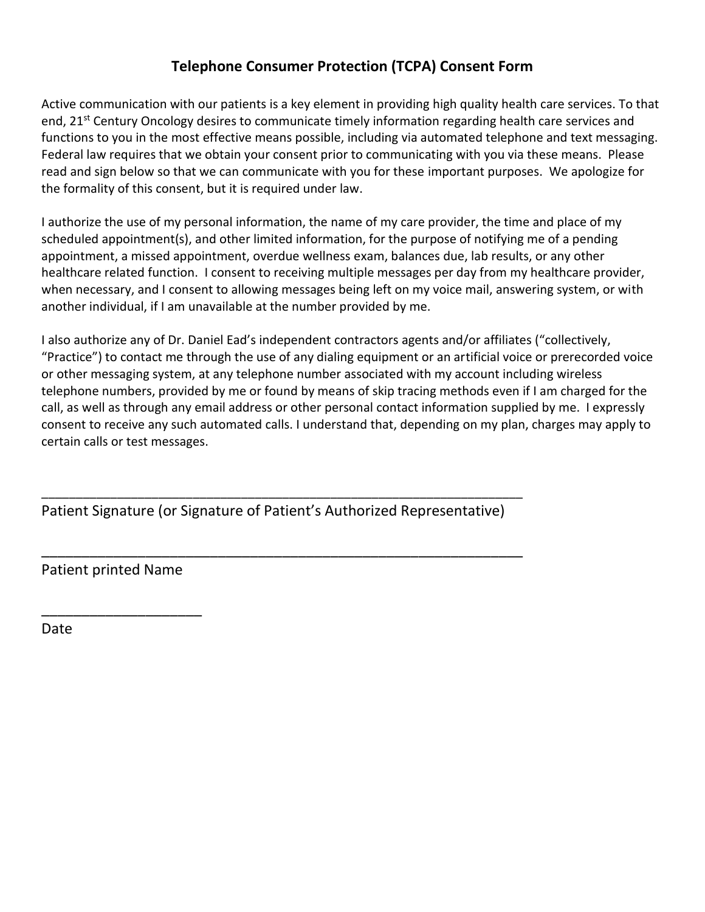# **Telephone Consumer Protection (TCPA) Consent Form**

Active communication with our patients is a key element in providing high quality health care services. To that end, 21<sup>st</sup> Century Oncology desires to communicate timely information regarding health care services and functions to you in the most effective means possible, including via automated telephone and text messaging. Federal law requires that we obtain your consent prior to communicating with you via these means. Please read and sign below so that we can communicate with you for these important purposes. We apologize for the formality of this consent, but it is required under law.

I authorize the use of my personal information, the name of my care provider, the time and place of my scheduled appointment(s), and other limited information, for the purpose of notifying me of a pending appointment, a missed appointment, overdue wellness exam, balances due, lab results, or any other healthcare related function. I consent to receiving multiple messages per day from my healthcare provider, when necessary, and I consent to allowing messages being left on my voice mail, answering system, or with another individual, if I am unavailable at the number provided by me.

I also authorize any of Dr. Daniel Ead's independent contractors agents and/or affiliates ("collectively, "Practice") to contact me through the use of any dialing equipment or an artificial voice or prerecorded voice or other messaging system, at any telephone number associated with my account including wireless telephone numbers, provided by me or found by means of skip tracing methods even if I am charged for the call, as well as through any email address or other personal contact information supplied by me. I expressly consent to receive any such automated calls. I understand that, depending on my plan, charges may apply to certain calls or test messages.

Patient Signature (or Signature of Patient's Authorized Representative)

\_\_\_\_\_\_\_\_\_\_\_\_\_\_\_\_\_\_\_\_\_\_\_\_\_\_\_\_\_\_\_\_\_\_\_\_\_\_\_\_\_\_\_\_\_\_\_\_\_\_\_\_\_\_\_\_\_\_\_\_\_\_\_\_\_\_\_\_\_\_

\_\_\_\_\_\_\_\_\_\_\_\_\_\_\_\_\_\_\_\_\_\_\_\_\_\_\_\_\_\_\_\_\_\_\_\_\_\_\_\_\_\_\_\_\_\_\_\_\_\_\_\_\_\_\_\_\_\_\_\_

Patient printed Name

\_\_\_\_\_\_\_\_\_\_\_\_\_\_\_\_\_\_\_\_

Date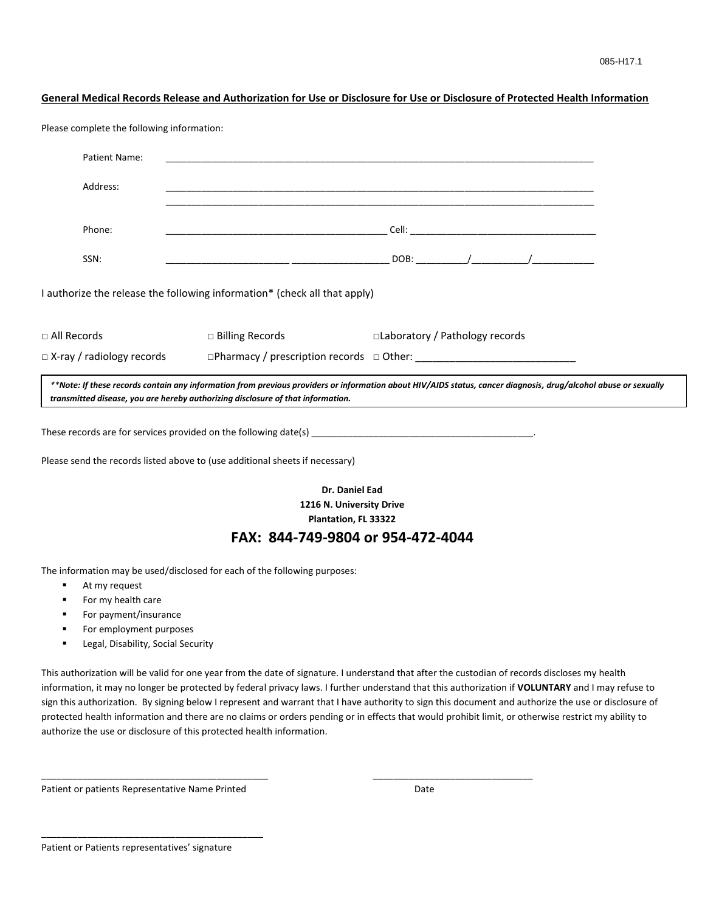#### **General Medical Records Release and Authorization for Use or Disclosure for Use or Disclosure of Protected Health Information**

Please complete the following information:

| Patient Name:                                                                   |                        |                                                                                                                                                                                                                                              |  |
|---------------------------------------------------------------------------------|------------------------|----------------------------------------------------------------------------------------------------------------------------------------------------------------------------------------------------------------------------------------------|--|
| Address:                                                                        |                        |                                                                                                                                                                                                                                              |  |
| Phone:                                                                          |                        |                                                                                                                                                                                                                                              |  |
| SSN:                                                                            |                        |                                                                                                                                                                                                                                              |  |
| I authorize the release the following information* (check all that apply)       |                        |                                                                                                                                                                                                                                              |  |
| $\Box$ All Records                                                              | $\Box$ Billing Records | □Laboratory / Pathology records                                                                                                                                                                                                              |  |
| $\Box$ X-ray / radiology records                                                |                        |                                                                                                                                                                                                                                              |  |
| transmitted disease, you are hereby authorizing disclosure of that information. |                        | **Note: If these records contain any information from previous providers or information about HIV/AIDS status, cancer diagnosis, drug/alcohol abuse or sexually                                                                              |  |
|                                                                                 |                        | These records are for services provided on the following date(s) $\frac{1}{2}$ and $\frac{1}{2}$ are records are for services provided on the following date(s) $\frac{1}{2}$ and $\frac{1}{2}$ are records are for services provided on the |  |
| Please send the records listed above to (use additional sheets if necessary)    |                        |                                                                                                                                                                                                                                              |  |
|                                                                                 |                        | Dr. Daniel Ead                                                                                                                                                                                                                               |  |
|                                                                                 |                        | 1216 N. University Drive<br>Plantation, FL 33322                                                                                                                                                                                             |  |
|                                                                                 |                        | FAX: 844-749-9804 or 954-472-4044                                                                                                                                                                                                            |  |
|                                                                                 |                        |                                                                                                                                                                                                                                              |  |

The information may be used/disclosed for each of the following purposes:

- At my request
- For my health care
- For payment/insurance
- For employment purposes
- Legal, Disability, Social Security

This authorization will be valid for one year from the date of signature. I understand that after the custodian of records discloses my health information, it may no longer be protected by federal privacy laws. I further understand that this authorization if **VOLUNTARY** and I may refuse to sign this authorization. By signing below I represent and warrant that I have authority to sign this document and authorize the use or disclosure of protected health information and there are no claims or orders pending or in effects that would prohibit limit, or otherwise restrict my ability to authorize the use or disclosure of this protected health information.

\_\_\_\_\_\_\_\_\_\_\_\_\_\_\_\_\_\_\_\_\_\_\_\_\_\_\_\_\_\_\_\_\_\_\_\_\_\_\_\_\_\_\_\_ \_\_\_\_\_\_\_\_\_\_\_\_\_\_\_\_\_\_\_\_\_\_\_\_\_\_\_\_\_\_\_

Patient or patients Representative Name Printed **Date** Date

\_\_\_\_\_\_\_\_\_\_\_\_\_\_\_\_\_\_\_\_\_\_\_\_\_\_\_\_\_\_\_\_\_\_\_\_\_\_\_\_\_\_\_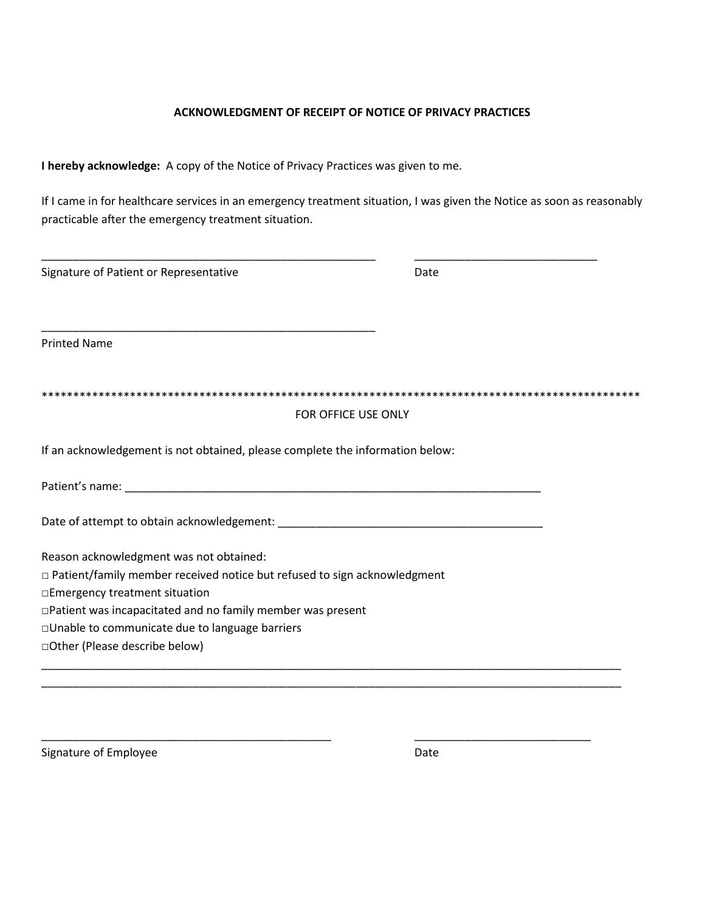### **ACKNOWLEDGMENT OF RECEIPT OF NOTICE OF PRIVACY PRACTICES**

**I hereby acknowledge:** A copy of the Notice of Privacy Practices was given to me.

If I came in for healthcare services in an emergency treatment situation, I was given the Notice as soon as reasonably practicable after the emergency treatment situation.

| Signature of Patient or Representative                                          | Date |
|---------------------------------------------------------------------------------|------|
|                                                                                 |      |
| <b>Printed Name</b>                                                             |      |
|                                                                                 |      |
| FOR OFFICE USE ONLY                                                             |      |
| If an acknowledgement is not obtained, please complete the information below:   |      |
|                                                                                 |      |
|                                                                                 |      |
| Reason acknowledgment was not obtained:                                         |      |
| $\Box$ Patient/family member received notice but refused to sign acknowledgment |      |
| □Emergency treatment situation                                                  |      |
| □Patient was incapacitated and no family member was present                     |      |
| □Unable to communicate due to language barriers                                 |      |
|                                                                                 |      |

\_\_\_\_\_\_\_\_\_\_\_\_\_\_\_\_\_\_\_\_\_\_\_\_\_\_\_\_\_\_\_\_\_\_\_\_\_\_\_\_\_\_\_\_\_\_ \_\_\_\_\_\_\_\_\_\_\_\_\_\_\_\_\_\_\_\_\_\_\_\_\_\_\_\_

Signature of Employee Date Date Date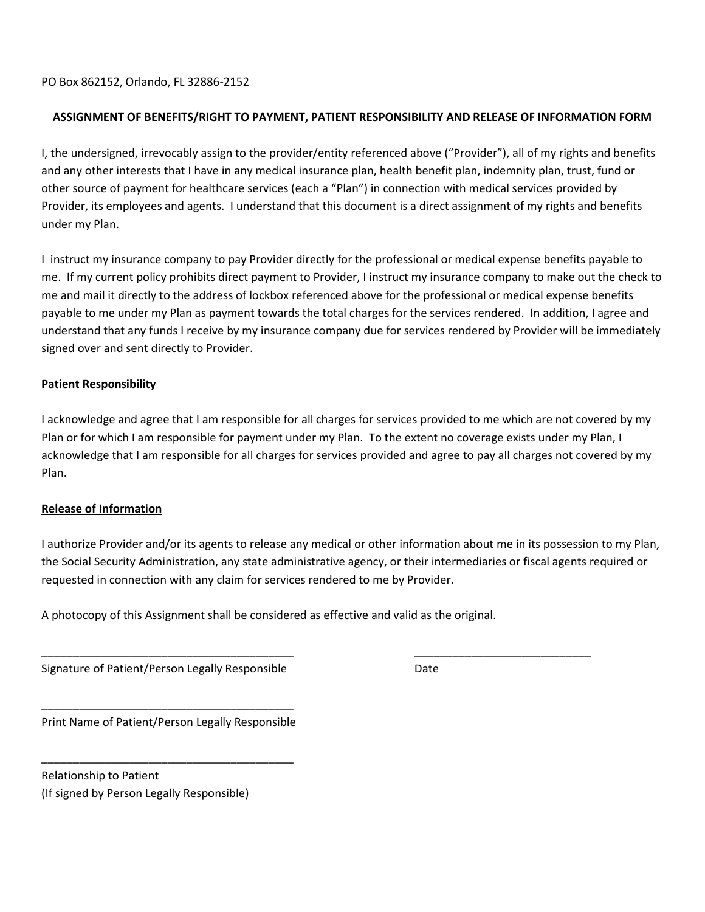PO Box 862152, Orlando, FL 32886-2152

## **ASSIGNMENT OF BENEFITS/RIGHT TO PAYMENT, PATIENT RESPONSIBILITY AND RELEASE OF INFORMATION FORM**

I, the undersigned, irrevocably assign to the provider/entity referenced above ("Provider"), all of my rights and benefits and any other interests that I have in any medical insurance plan, health benefit plan, indemnity plan, trust, fund or other source of payment for healthcare services (each a "Plan") in connection with medical services provided by Provider, its employees and agents. I understand that this document is a direct assignment of my rights and benefits under my Plan.

I instruct my insurance company to pay Provider directly for the professional or medical expense benefits payable to me. If my current policy prohibits direct payment to Provider, I instruct my insurance company to make out the check to me and mail it directly to the address of lockbox referenced above for the professional or medical expense benefits payable to me under my Plan as payment towards the total charges for the services rendered. In addition, I agree and understand that any funds I receive by my insurance company due for services rendered by Provider will be immediately signed over and sent directly to Provider.

## **Patient Responsibility**

I acknowledge and agree that I am responsible for all charges for services provided to me which are not covered by my Plan or for which I am responsible for payment under my Plan. To the extent no coverage exists under my Plan, I acknowledge that I am responsible for all charges for services provided and agree to pay all charges not covered by my Plan.

#### **Release of Information**

I authorize Provider and/or its agents to release any medical or other information about me in its possession to my Plan, the Social Security Administration, any state administrative agency, or their intermediaries or fiscal agents required or requested in connection with any claim for services rendered to me by Provider.

\_\_\_\_\_\_\_\_\_\_\_\_\_\_\_\_\_\_\_\_\_\_\_\_\_\_\_\_\_\_\_\_\_\_\_\_\_\_\_\_ \_\_\_\_\_\_\_\_\_\_\_\_\_\_\_\_\_\_\_\_\_\_\_\_\_\_\_\_

A photocopy of this Assignment shall be considered as effective and valid as the original.

Signature of Patient/Person Legally Responsible Date

\_\_\_\_\_\_\_\_\_\_\_\_\_\_\_\_\_\_\_\_\_\_\_\_\_\_\_\_\_\_\_\_\_\_\_\_\_\_\_\_ Print Name of Patient/Person Legally Responsible

\_\_\_\_\_\_\_\_\_\_\_\_\_\_\_\_\_\_\_\_\_\_\_\_\_\_\_\_\_\_\_\_\_\_\_\_\_\_\_\_

Relationship to Patient (If signed by Person Legally Responsible)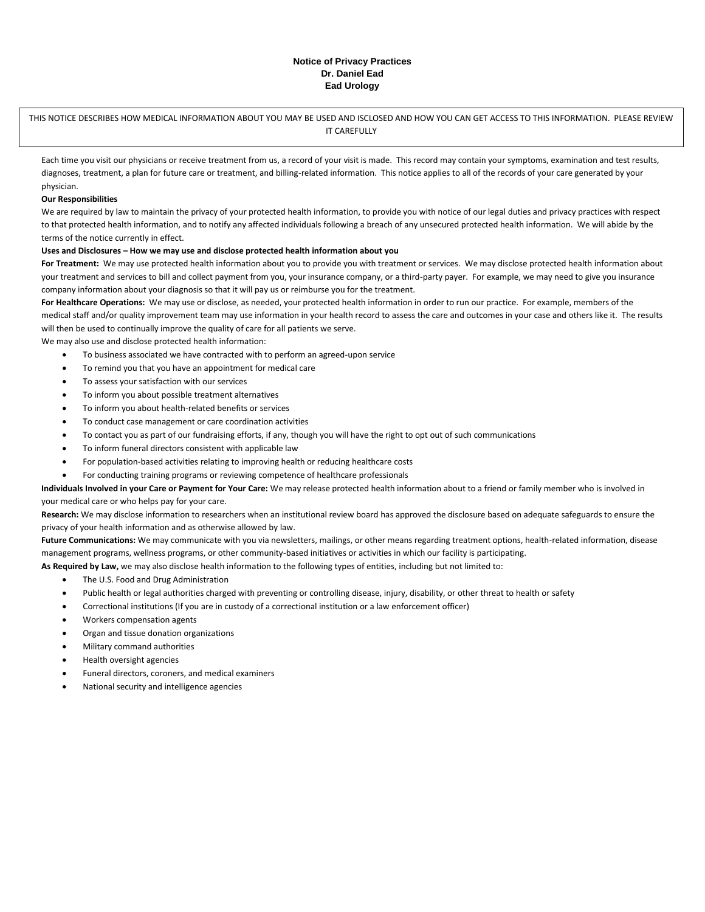#### **Notice of Privacy Practices Dr. Daniel Ead Ead Urology**

THIS NOTICE DESCRIBES HOW MEDICAL INFORMATION ABOUT YOU MAY BE USED AND ISCLOSED AND HOW YOU CAN GET ACCESS TO THIS INFORMATION. PLEASE REVIEW IT CAREFULLY

Each time you visit our physicians or receive treatment from us, a record of your visit is made. This record may contain your symptoms, examination and test results, diagnoses, treatment, a plan for future care or treatment, and billing-related information. This notice applies to all of the records of your care generated by your physician.

#### **Our Responsibilities**

We are required by law to maintain the privacy of your protected health information, to provide you with notice of our legal duties and privacy practices with respect to that protected health information, and to notify any affected individuals following a breach of any unsecured protected health information. We will abide by the terms of the notice currently in effect.

#### **Uses and Disclosures – How we may use and disclose protected health information about you**

For Treatment: We may use protected health information about you to provide you with treatment or services. We may disclose protected health information about your treatment and services to bill and collect payment from you, your insurance company, or a third-party payer. For example, we may need to give you insurance company information about your diagnosis so that it will pay us or reimburse you for the treatment.

**For Healthcare Operations:** We may use or disclose, as needed, your protected health information in order to run our practice. For example, members of the medical staff and/or quality improvement team may use information in your health record to assess the care and outcomes in your case and others like it. The results will then be used to continually improve the quality of care for all patients we serve.

We may also use and disclose protected health information:

- To business associated we have contracted with to perform an agreed-upon service
- To remind you that you have an appointment for medical care
- To assess your satisfaction with our services
- To inform you about possible treatment alternatives
- To inform you about health-related benefits or services
- To conduct case management or care coordination activities
- To contact you as part of our fundraising efforts, if any, though you will have the right to opt out of such communications
- To inform funeral directors consistent with applicable law
- For population-based activities relating to improving health or reducing healthcare costs
- For conducting training programs or reviewing competence of healthcare professionals

**Individuals Involved in your Care or Payment for Your Care:** We may release protected health information about to a friend or family member who is involved in your medical care or who helps pay for your care.

**Research:** We may disclose information to researchers when an institutional review board has approved the disclosure based on adequate safeguards to ensure the privacy of your health information and as otherwise allowed by law.

**Future Communications:** We may communicate with you via newsletters, mailings, or other means regarding treatment options, health-related information, disease management programs, wellness programs, or other community-based initiatives or activities in which our facility is participating.

- **As Required by Law,** we may also disclose health information to the following types of entities, including but not limited to:
	- The U.S. Food and Drug Administration
	- Public health or legal authorities charged with preventing or controlling disease, injury, disability, or other threat to health or safety
	- Correctional institutions (If you are in custody of a correctional institution or a law enforcement officer)
	- Workers compensation agents
	- Organ and tissue donation organizations
	- Military command authorities
	- Health oversight agencies
	- Funeral directors, coroners, and medical examiners
	- National security and intelligence agencies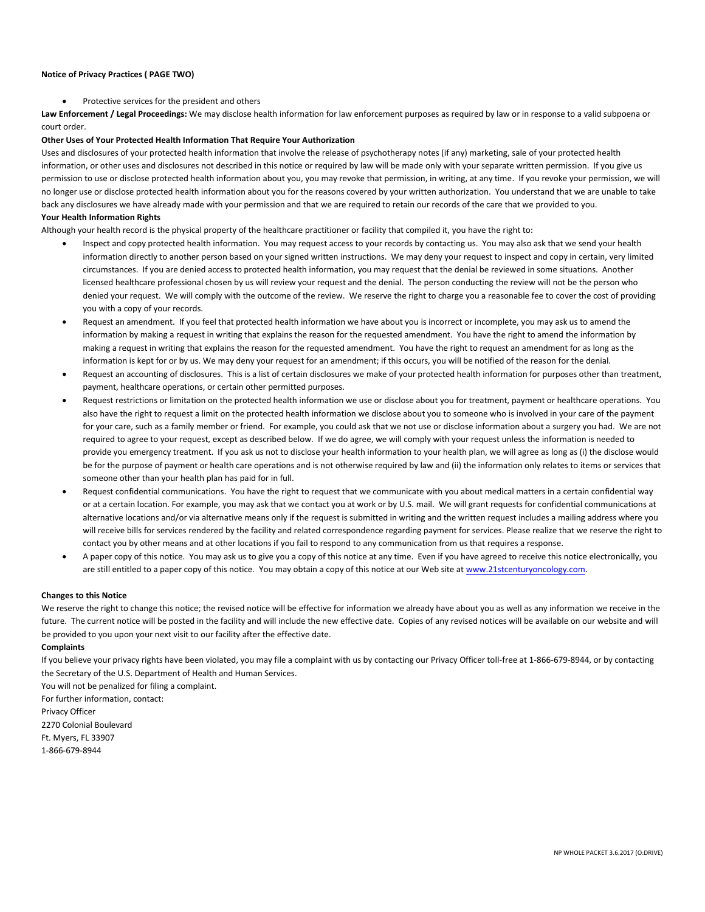#### **Notice of Privacy Practices ( PAGE TWO)**

Protective services for the president and others

**Law Enforcement / Legal Proceedings:** We may disclose health information for law enforcement purposes as required by law or in response to a valid subpoena or court order.

#### **Other Uses of Your Protected Health Information That Require Your Authorization**

Uses and disclosures of your protected health information that involve the release of psychotherapy notes (if any) marketing, sale of your protected health information, or other uses and disclosures not described in this notice or required by law will be made only with your separate written permission. If you give us permission to use or disclose protected health information about you, you may revoke that permission, in writing, at any time. If you revoke your permission, we will no longer use or disclose protected health information about you for the reasons covered by your written authorization. You understand that we are unable to take back any disclosures we have already made with your permission and that we are required to retain our records of the care that we provided to you. **Your Health Information Rights**

Although your health record is the physical property of the healthcare practitioner or facility that compiled it, you have the right to:

- Inspect and copy protected health information. You may request access to your records by contacting us. You may also ask that we send your health information directly to another person based on your signed written instructions. We may deny your request to inspect and copy in certain, very limited circumstances. If you are denied access to protected health information, you may request that the denial be reviewed in some situations. Another licensed healthcare professional chosen by us will review your request and the denial. The person conducting the review will not be the person who denied your request. We will comply with the outcome of the review. We reserve the right to charge you a reasonable fee to cover the cost of providing you with a copy of your records.
- Request an amendment. If you feel that protected health information we have about you is incorrect or incomplete, you may ask us to amend the information by making a request in writing that explains the reason for the requested amendment. You have the right to amend the information by making a request in writing that explains the reason for the requested amendment. You have the right to request an amendment for as long as the information is kept for or by us. We may deny your request for an amendment; if this occurs, you will be notified of the reason for the denial.
- Request an accounting of disclosures. This is a list of certain disclosures we make of your protected health information for purposes other than treatment, payment, healthcare operations, or certain other permitted purposes.
- Request restrictions or limitation on the protected health information we use or disclose about you for treatment, payment or healthcare operations. You also have the right to request a limit on the protected health information we disclose about you to someone who is involved in your care of the payment for your care, such as a family member or friend. For example, you could ask that we not use or disclose information about a surgery you had. We are not required to agree to your request, except as described below. If we do agree, we will comply with your request unless the information is needed to provide you emergency treatment. If you ask us not to disclose your health information to your health plan, we will agree as long as (i) the disclose would be for the purpose of payment or health care operations and is not otherwise required by law and (ii) the information only relates to items or services that someone other than your health plan has paid for in full.
- Request confidential communications. You have the right to request that we communicate with you about medical matters in a certain confidential way or at a certain location. For example, you may ask that we contact you at work or by U.S. mail. We will grant requests for confidential communications at alternative locations and/or via alternative means only if the request is submitted in writing and the written request includes a mailing address where you will receive bills for services rendered by the facility and related correspondence regarding payment for services. Please realize that we reserve the right to contact you by other means and at other locations if you fail to respond to any communication from us that requires a response.
- A paper copy of this notice. You may ask us to give you a copy of this notice at any time. Even if you have agreed to receive this notice electronically, you are still entitled to a paper copy of this notice. You may obtain a copy of this notice at our Web site at www.21stcenturyoncology.com.

#### **Changes to this Notice**

We reserve the right to change this notice; the revised notice will be effective for information we already have about you as well as any information we receive in the future. The current notice will be posted in the facility and will include the new effective date. Copies of any revised notices will be available on our website and will be provided to you upon your next visit to our facility after the effective date.

#### **Complaints**

If you believe your privacy rights have been violated, you may file a complaint with us by contacting our Privacy Officer toll-free at 1-866-679-8944, or by contacting the Secretary of the U.S. Department of Health and Human Services.

You will not be penalized for filing a complaint. For further information, contact: Privacy Officer 2270 Colonial Boulevard Ft. Myers, FL 33907 1-866-679-8944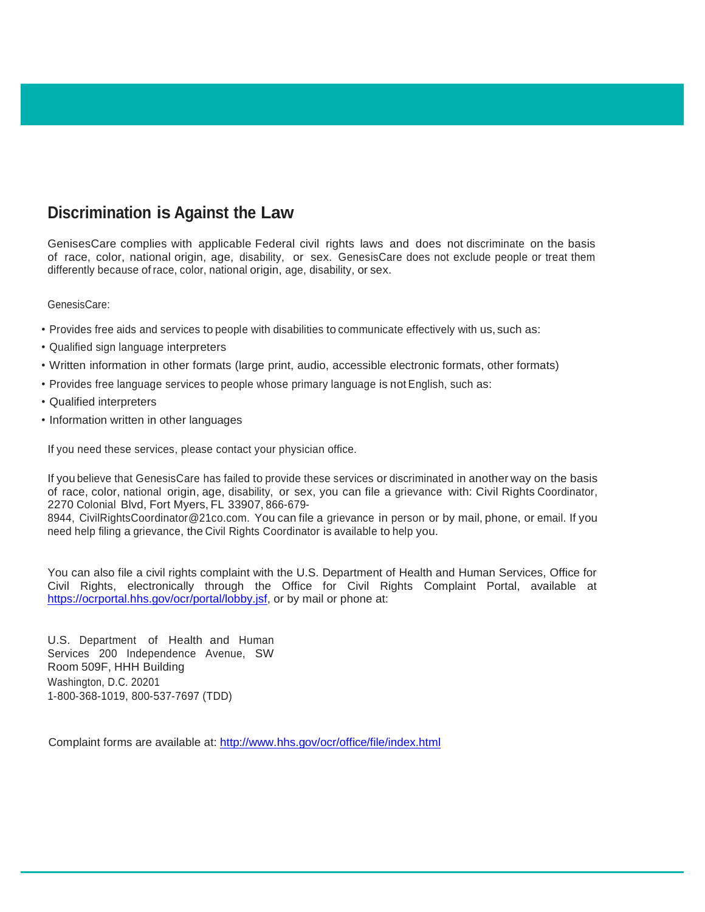# **Discrimination is Against the Law**

GenisesCare complies with applicable Federal civil rights laws and does not discriminate on the basis of race, color, national origin, age, disability, or sex. GenesisCare does not exclude people or treat them differently because ofrace, color, national origin, age, disability, or sex.

GenesisCare:

- Provides free aids and services to people with disabilities to communicate effectively with us, such as:
- Qualified sign language interpreters
- Written information in other formats (large print, audio, accessible electronic formats, other formats)
- Provides free language services to people whose primary language is not English, such as:
- Qualified interpreters
- Information written in other languages

If you need these services, please contact your physician office.

If you believe that GenesisCare has failed to provide these services or discriminated in another way on the basis of race, color, national origin, age, disability, or sex, you can file a grievance with: Civil Rights Coordinator, 2270 Colonial Blvd, Fort Myers, FL 33907, 866-679-

8944, [CivilRightsCoordinator@21co.com.](mailto:CivilRightsCoordinator@21co.com) You can file a grievance in person or by mail, phone, or email. If you need help filing a grievance, the Civil Rights Coordinator is available to help you.

You can also file a civil rights complaint with the U.S. Department of Health and Human Services, Office for Civil Rights, electronically through the Office for Civil Rights Complaint Portal, available at [https://ocrportal.hhs.gov/ocr/portal/lobby.jsf,](https://ocrportal.hhs.gov/ocr/portal/lobby.jsf) or by mail or phone at:

U.S. Department of Health and Human Services 200 Independence Avenue, SW Room 509F, HHH Building Washington, D.C. 20201 1-800-368-1019, 800-537-7697 (TDD)

Complaint forms are available at:<http://www.hhs.gov/ocr/office/file/index.html>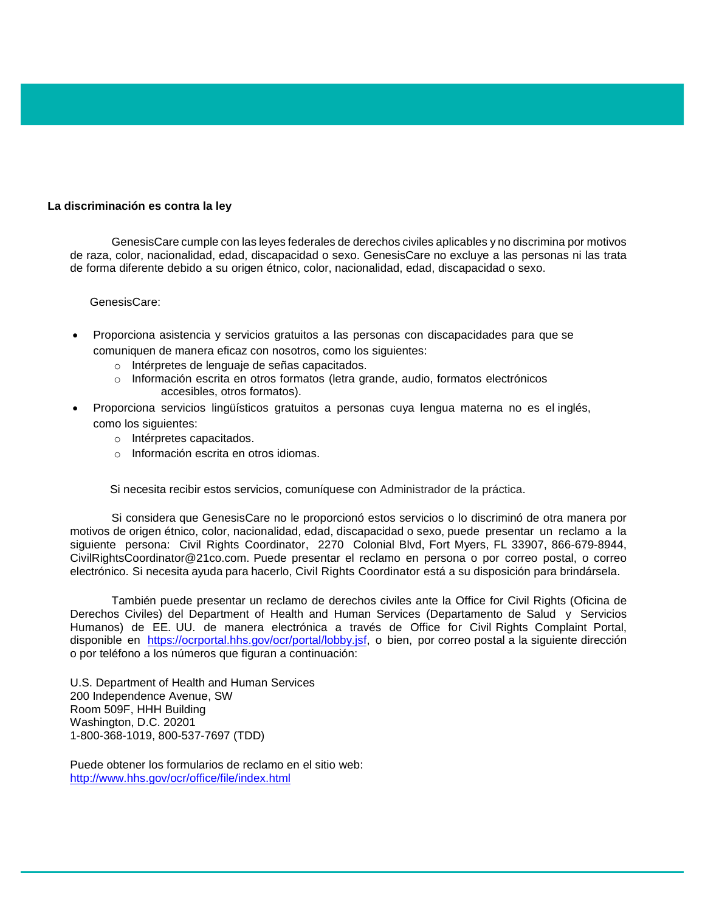#### **La discriminación es contra la ley**

GenesisCare cumple con las leyes federales de derechos civiles aplicables y no discrimina por motivos de raza, color, nacionalidad, edad, discapacidad o sexo. GenesisCare no excluye a las personas ni las trata de forma diferente debido a su origen étnico, color, nacionalidad, edad, discapacidad o sexo.

#### GenesisCare:

- Proporciona asistencia y servicios gratuitos a las personas con discapacidades para que se comuniquen de manera eficaz con nosotros, como los siguientes:
	- o Intérpretes de lenguaje de señas capacitados.
	- o Información escrita en otros formatos (letra grande, audio, formatos electrónicos accesibles, otros formatos).
- Proporciona servicios lingüísticos gratuitos a personas cuya lengua materna no es el inglés, como los siguientes:
	- o Intérpretes capacitados.
	- o Información escrita en otros idiomas.

Si necesita recibir estos servicios, comuníquese con Administrador de la práctica.

Si considera que GenesisCare no le proporcionó estos servicios o lo discriminó de otra manera por motivos de origen étnico, color, nacionalidad, edad, discapacidad o sexo, puede presentar un reclamo a la siguiente persona: Civil Rights Coordinator, 2270 Colonial Blvd, Fort Myers, FL 33907, 866-679-8944, [CivilRightsCoordinator@21co.com.](mailto:CivilRightsCoordinator@21co.com) Puede presentar el reclamo en persona o por correo postal, o correo electrónico. Si necesita ayuda para hacerlo, Civil Rights Coordinator está a su disposición para brindársela.

También puede presentar un reclamo de derechos civiles ante la Office for Civil Rights (Oficina de Derechos Civiles) del Department of Health and Human Services (Departamento de Salud y Servicios Humanos) de EE. UU. de manera electrónica a través de Office for Civil Rights Complaint Portal, disponible en [https://ocrportal.hhs.gov/ocr/portal/lobby.jsf,](https://ocrportal.hhs.gov/ocr/portal/lobby.jsf) o bien, por correo postal a la siguiente dirección o por teléfono a los números que figuran a continuación:

U.S. Department of Health and Human Services 200 Independence Avenue, SW Room 509F, HHH Building Washington, D.C. 20201 1-800-368-1019, 800-537-7697 (TDD)

Puede obtener los formularios de reclamo en el sitio web: <http://www.hhs.gov/ocr/office/file/index.html>